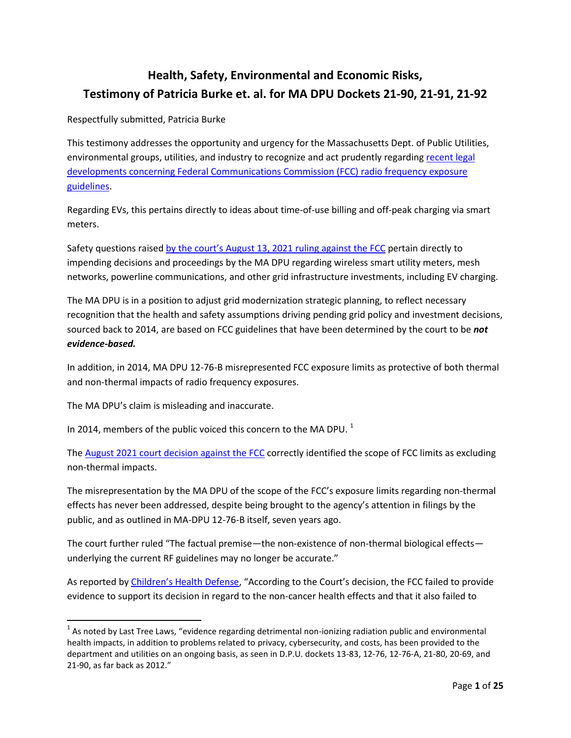## **Health, Safety, Environmental and Economic Risks, Testimony of Patricia Burke et. al. for MA DPU Dockets 21-90, 21-91, 21-92**

Respectfully submitted, Patricia Burke

This testimony addresses the opportunity and urgency for the Massachusetts Dept. of Public Utilities, environmental groups, utilities, and industry to recognize and act prudently regarding recent legal developments concerning [Federal Communications Commission](https://www.cadc.uscourts.gov/internet/opinions.nsf/FB976465BF00F8BD85258730004EFDF7/$file/20-1025-1910111.pdf) (FCC) radio frequency exposure [guidelines.](https://www.cadc.uscourts.gov/internet/opinions.nsf/FB976465BF00F8BD85258730004EFDF7/$file/20-1025-1910111.pdf)

Regarding EVs, this pertains directly to ideas about time-of-use billing and off-peak charging via smart meters.

Safety questions raised by the court's [August 13, 2021](https://www.cadc.uscourts.gov/internet/opinions.nsf/FB976465BF00F8BD85258730004EFDF7/$file/20-1025-1910111.pdf) ruling against the FCC pertain directly to impending decisions and proceedings by the MA DPU regarding wireless smart utility meters, mesh networks, powerline communications, and other grid infrastructure investments, including EV charging.

The MA DPU is in a position to adjust grid modernization strategic planning, to reflect necessary recognition that the health and safety assumptions driving pending grid policy and investment decisions, sourced back to 2014, are based on FCC guidelines that have been determined by the court to be *not evidence-based.*

In addition, in 2014, MA DPU 12-76-B misrepresented FCC exposure limits as protective of both thermal and non-thermal impacts of radio frequency exposures.

The MA DPU's claim is misleading and inaccurate.

 $\overline{a}$ 

In 2014, members of the public voiced this concern to the MA DPU.<sup>1</sup>

The August 2021 court [decision against the FCC](https://www.cadc.uscourts.gov/internet/opinions.nsf/FB976465BF00F8BD85258730004EFDF7/$file/20-1025-1910111.pdf) correctly identified the scope of FCC limits as excluding non-thermal impacts.

The misrepresentation by the MA DPU of the scope of the FCC's exposure limits regarding non-thermal effects has never been addressed, despite being brought to the agency's attention in filings by the public, and as outlined in MA-DPU 12-76-B itself, seven years ago.

The court further ruled "The factual premise—the non-existence of non-thermal biological effects underlying the current RF guidelines may no longer be accurate."

As reported by [Children's Health Defense,](https://childrenshealthdefense.org/seeking-justice/legal/chd-v-federal-communication-commission-fcc/#watch) "According to the Court's decision, the FCC failed to provide evidence to support its decision in regard to the non-cancer health effects and that it also failed to

 $^1$  As noted by Last Tree Laws, "evidence regarding detrimental non-ionizing radiation public and environmental health impacts, in addition to problems related to privacy, cybersecurity, and costs, has been provided to the department and utilities on an ongoing basis, as seen in D.P.U. dockets 13-83, 12-76, 12-76-A, 21-80, 20-69, and 21-90, as far back as 2012."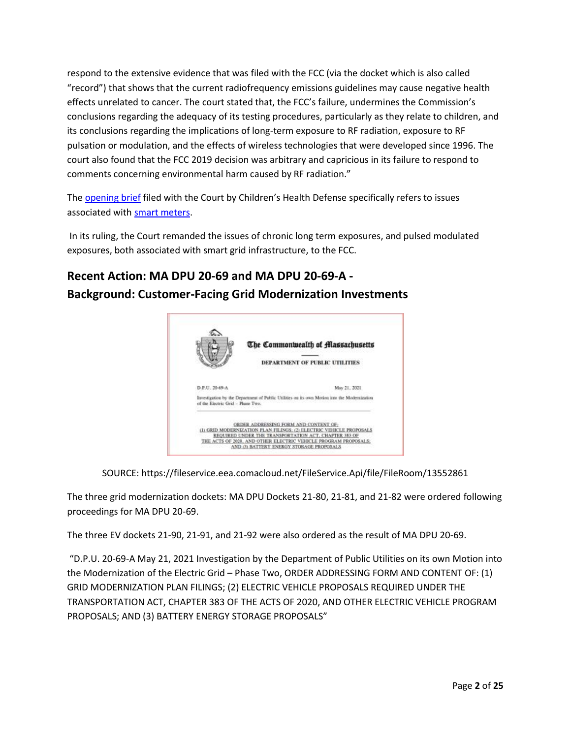respond to the extensive evidence that was filed with the FCC (via the docket which is also called "record") that shows that the current radiofrequency emissions guidelines may cause negative health effects unrelated to cancer. The court stated that, the FCC's failure, undermines the Commission's conclusions regarding the adequacy of its testing procedures, particularly as they relate to children, and its conclusions regarding the implications of long-term exposure to RF radiation, exposure to RF pulsation or modulation, and the effects of wireless technologies that were developed since 1996. The court also found that the FCC 2019 decision was arbitrary and capricious in its failure to respond to comments concerning environmental harm caused by RF radiation."

The [opening brief](https://childrenshealthdefense.org/wp-content/uploads/Corrected-Brief-and-Hyperlinks-Table-Postable-pdf-A1.pdf) filed with the Court by Children's Health Defense specifically refers to issues associated with [smart meters.](https://childrenshealthdefense.org/wp-content/uploads/Corrected-Brief-and-Hyperlinks-Table-Postable-pdf-A1.pdf#page=58)

In its ruling, the Court remanded the issues of chronic long term exposures, and pulsed modulated exposures, both associated with smart grid infrastructure, to the FCC.

# **Recent Action: MA DPU 20-69 and MA DPU 20-69-A - Background: Customer-Facing Grid Modernization Investments**



SOURCE: https://fileservice.eea.comacloud.net/FileService.Api/file/FileRoom/13552861

The three grid modernization dockets: MA DPU Dockets 21-80, 21-81, and 21-82 were ordered following proceedings for MA DPU 20-69.

The three EV dockets 21-90, 21-91, and 21-92 were also ordered as the result of MA DPU 20-69.

"D.P.U. 20-69-A May 21, 2021 Investigation by the Department of Public Utilities on its own Motion into the Modernization of the Electric Grid – Phase Two, ORDER ADDRESSING FORM AND CONTENT OF: (1) GRID MODERNIZATION PLAN FILINGS; (2) ELECTRIC VEHICLE PROPOSALS REQUIRED UNDER THE TRANSPORTATION ACT, CHAPTER 383 OF THE ACTS OF 2020, AND OTHER ELECTRIC VEHICLE PROGRAM PROPOSALS; AND (3) BATTERY ENERGY STORAGE PROPOSALS"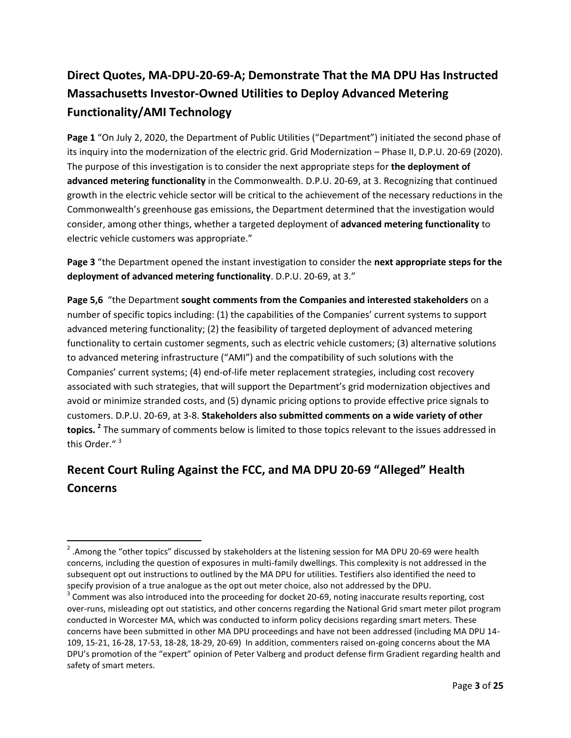# **Direct Quotes, MA-DPU-20-69-A; Demonstrate That the MA DPU Has Instructed Massachusetts Investor-Owned Utilities to Deploy Advanced Metering Functionality/AMI Technology**

Page 1 "On July 2, 2020, the Department of Public Utilities ("Department") initiated the second phase of its inquiry into the modernization of the electric grid. Grid Modernization – Phase II, D.P.U. 20-69 (2020). The purpose of this investigation is to consider the next appropriate steps for **the deployment of advanced metering functionality** in the Commonwealth. D.P.U. 20-69, at 3. Recognizing that continued growth in the electric vehicle sector will be critical to the achievement of the necessary reductions in the Commonwealth's greenhouse gas emissions, the Department determined that the investigation would consider, among other things, whether a targeted deployment of **advanced metering functionality** to electric vehicle customers was appropriate."

**Page 3** "the Department opened the instant investigation to consider the **next appropriate steps for the deployment of advanced metering functionality**. D.P.U. 20-69, at 3."

**Page 5,6** "the Department **sought comments from the Companies and interested stakeholders** on a number of specific topics including: (1) the capabilities of the Companies' current systems to support advanced metering functionality; (2) the feasibility of targeted deployment of advanced metering functionality to certain customer segments, such as electric vehicle customers; (3) alternative solutions to advanced metering infrastructure ("AMI") and the compatibility of such solutions with the Companies' current systems; (4) end-of-life meter replacement strategies, including cost recovery associated with such strategies, that will support the Department's grid modernization objectives and avoid or minimize stranded costs, and (5) dynamic pricing options to provide effective price signals to customers. D.P.U. 20-69, at 3-8. **Stakeholders also submitted comments on a wide variety of other topics. <sup>2</sup>** The summary of comments below is limited to those topics relevant to the issues addressed in this Order.<sup>"3</sup>

# **Recent Court Ruling Against the FCC, and MA DPU 20-69 "Alleged" Health Concerns**

 $\overline{a}$ 

<sup>&</sup>lt;sup>2</sup> .Among the "other topics" discussed by stakeholders at the listening session for MA DPU 20-69 were health concerns, including the question of exposures in multi-family dwellings. This complexity is not addressed in the subsequent opt out instructions to outlined by the MA DPU for utilities. Testifiers also identified the need to specify provision of a true analogue as the opt out meter choice, also not addressed by the DPU.

 $3$  Comment was also introduced into the proceeding for docket 20-69, noting inaccurate results reporting, cost over-runs, misleading opt out statistics, and other concerns regarding the National Grid smart meter pilot program conducted in Worcester MA, which was conducted to inform policy decisions regarding smart meters. These concerns have been submitted in other MA DPU proceedings and have not been addressed (including MA DPU 14- 109, 15-21, 16-28, 17-53, 18-28, 18-29, 20-69) In addition, commenters raised on-going concerns about the MA DPU's promotion of the "expert" opinion of Peter Valberg and product defense firm Gradient regarding health and safety of smart meters.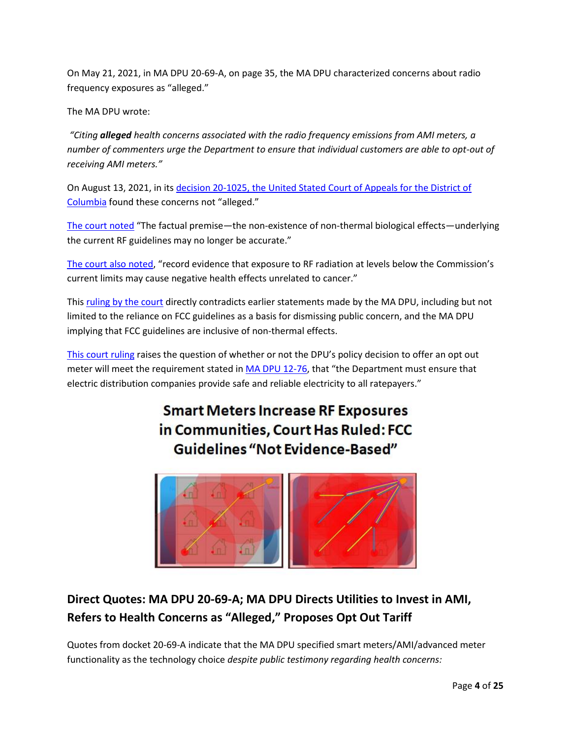On May 21, 2021, in MA DPU 20-69-A, on page 35, the MA DPU characterized concerns about radio frequency exposures as "alleged."

The MA DPU wrote:

*"Citing alleged health concerns associated with the radio frequency emissions from AMI meters, a number of commenters urge the Department to ensure that individual customers are able to opt-out of receiving AMI meters."*

On August 13, 2021, in its decision 20-1025, the [United Stated Court of Appeals for the District of](https://www.cadc.uscourts.gov/internet/opinions.nsf/FB976465BF00F8BD85258730004EFDF7/$file/20-1025-1910111.pdf)  [Columbia](https://www.cadc.uscourts.gov/internet/opinions.nsf/FB976465BF00F8BD85258730004EFDF7/$file/20-1025-1910111.pdf) found these concerns not "alleged."

[The court noted](https://www.cadc.uscourts.gov/internet/opinions.nsf/FB976465BF00F8BD85258730004EFDF7/$file/20-1025-1910111.pdf) "The factual premise—the non-existence of non-thermal biological effects—underlying the current RF guidelines may no longer be accurate."

[The court also noted,](https://www.cadc.uscourts.gov/internet/opinions.nsf/FB976465BF00F8BD85258730004EFDF7/$file/20-1025-1910111.pdf) "record evidence that exposure to RF radiation at levels below the Commission's current limits may cause negative health effects unrelated to cancer."

Thi[s ruling by the court](https://www.cadc.uscourts.gov/internet/opinions.nsf/FB976465BF00F8BD85258730004EFDF7/$file/20-1025-1910111.pdf) directly contradicts earlier statements made by the MA DPU, including but not limited to the reliance on FCC guidelines as a basis for dismissing public concern, and the MA DPU implying that FCC guidelines are inclusive of non-thermal effects.

[This court ruling](https://www.cadc.uscourts.gov/internet/opinions.nsf/FB976465BF00F8BD85258730004EFDF7/$file/20-1025-1910111.pdf) raises the question of whether or not the DPU's policy decision to offer an opt out meter will meet the requirement stated i[n MA DPU 12-76](https://fileservice.eea.comacloud.net/FileService.Api/file/FileRoom/9241637), that "the Department must ensure that electric distribution companies provide safe and reliable electricity to all ratepayers."

# **Smart Meters Increase RF Exposures** in Communities, Court Has Ruled: FCC **Guidelines "Not Evidence-Based"**



## **Direct Quotes: MA DPU 20-69-A; MA DPU Directs Utilities to Invest in AMI, Refers to Health Concerns as "Alleged," Proposes Opt Out Tariff**

Quotes from docket 20-69-A indicate that the MA DPU specified smart meters/AMI/advanced meter functionality as the technology choice *despite public testimony regarding health concerns:*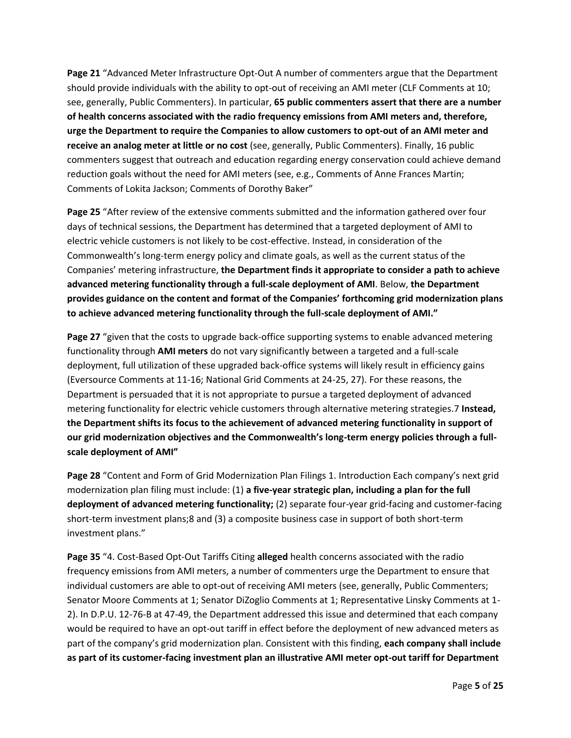**Page 21** "Advanced Meter Infrastructure Opt-Out A number of commenters argue that the Department should provide individuals with the ability to opt-out of receiving an AMI meter (CLF Comments at 10; see, generally, Public Commenters). In particular, **65 public commenters assert that there are a number of health concerns associated with the radio frequency emissions from AMI meters and, therefore, urge the Department to require the Companies to allow customers to opt-out of an AMI meter and receive an analog meter at little or no cost** (see, generally, Public Commenters). Finally, 16 public commenters suggest that outreach and education regarding energy conservation could achieve demand reduction goals without the need for AMI meters (see, e.g., Comments of Anne Frances Martin; Comments of Lokita Jackson; Comments of Dorothy Baker"

**Page 25** "After review of the extensive comments submitted and the information gathered over four days of technical sessions, the Department has determined that a targeted deployment of AMI to electric vehicle customers is not likely to be cost-effective. Instead, in consideration of the Commonwealth's long-term energy policy and climate goals, as well as the current status of the Companies' metering infrastructure, **the Department finds it appropriate to consider a path to achieve advanced metering functionality through a full-scale deployment of AMI**. Below, **the Department provides guidance on the content and format of the Companies' forthcoming grid modernization plans to achieve advanced metering functionality through the full-scale deployment of AMI."**

**Page 27** "given that the costs to upgrade back-office supporting systems to enable advanced metering functionality through **AMI meters** do not vary significantly between a targeted and a full-scale deployment, full utilization of these upgraded back-office systems will likely result in efficiency gains (Eversource Comments at 11-16; National Grid Comments at 24-25, 27). For these reasons, the Department is persuaded that it is not appropriate to pursue a targeted deployment of advanced metering functionality for electric vehicle customers through alternative metering strategies.7 **Instead, the Department shifts its focus to the achievement of advanced metering functionality in support of our grid modernization objectives and the Commonwealth's long-term energy policies through a fullscale deployment of AMI"**

**Page 28** "Content and Form of Grid Modernization Plan Filings 1. Introduction Each company's next grid modernization plan filing must include: (1) **a five-year strategic plan, including a plan for the full deployment of advanced metering functionality;** (2) separate four-year grid-facing and customer-facing short-term investment plans;8 and (3) a composite business case in support of both short-term investment plans."

**Page 35** "4. Cost-Based Opt-Out Tariffs Citing **alleged** health concerns associated with the radio frequency emissions from AMI meters, a number of commenters urge the Department to ensure that individual customers are able to opt-out of receiving AMI meters (see, generally, Public Commenters; Senator Moore Comments at 1; Senator DiZoglio Comments at 1; Representative Linsky Comments at 1- 2). In D.P.U. 12-76-B at 47-49, the Department addressed this issue and determined that each company would be required to have an opt-out tariff in effect before the deployment of new advanced meters as part of the company's grid modernization plan. Consistent with this finding, **each company shall include as part of its customer-facing investment plan an illustrative AMI meter opt-out tariff for Department**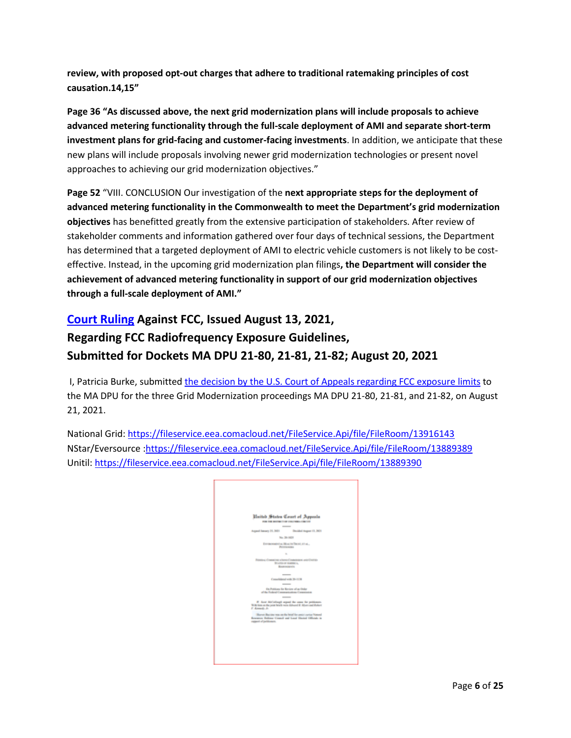**review, with proposed opt-out charges that adhere to traditional ratemaking principles of cost causation.14,15"**

**Page 36 "As discussed above, the next grid modernization plans will include proposals to achieve advanced metering functionality through the full-scale deployment of AMI and separate short-term investment plans for grid-facing and customer-facing investments**. In addition, we anticipate that these new plans will include proposals involving newer grid modernization technologies or present novel approaches to achieving our grid modernization objectives."

**Page 52** "VIII. CONCLUSION Our investigation of the **next appropriate steps for the deployment of advanced metering functionality in the Commonwealth to meet the Department's grid modernization objectives** has benefitted greatly from the extensive participation of stakeholders. After review of stakeholder comments and information gathered over four days of technical sessions, the Department has determined that a targeted deployment of AMI to electric vehicle customers is not likely to be costeffective. Instead, in the upcoming grid modernization plan filings**, the Department will consider the achievement of advanced metering functionality in support of our grid modernization objectives through a full-scale deployment of AMI."**

## **[Court Ruling](https://www.cadc.uscourts.gov/internet/opinions.nsf/FB976465BF00F8BD85258730004EFDF7/$file/20-1025-1910111.pdf) Against FCC, Issued August 13, 2021, Regarding FCC Radiofrequency Exposure Guidelines, Submitted for Dockets MA DPU 21-80, 21-81, 21-82; August 20, 2021**

I, Patricia Burke, submitted [the decision by the U.S. Court of Appeals regarding FCC exposure limits](https://www.cadc.uscourts.gov/internet/opinions.nsf/FB976465BF00F8BD85258730004EFDF7/$file/20-1025-1910111.pdf) to the MA DPU for the three Grid Modernization proceedings MA DPU 21-80, 21-81, and 21-82, on August 21, 2021.

National Grid: <https://fileservice.eea.comacloud.net/FileService.Api/file/FileRoom/13916143> NStar/Eversource [:https://fileservice.eea.comacloud.net/FileService.Api/file/FileRoom/13889389](https://fileservice.eea.comacloud.net/FileService.Api/file/FileRoom/13889389) Unitil: <https://fileservice.eea.comacloud.net/FileService.Api/file/FileRoom/13889390>

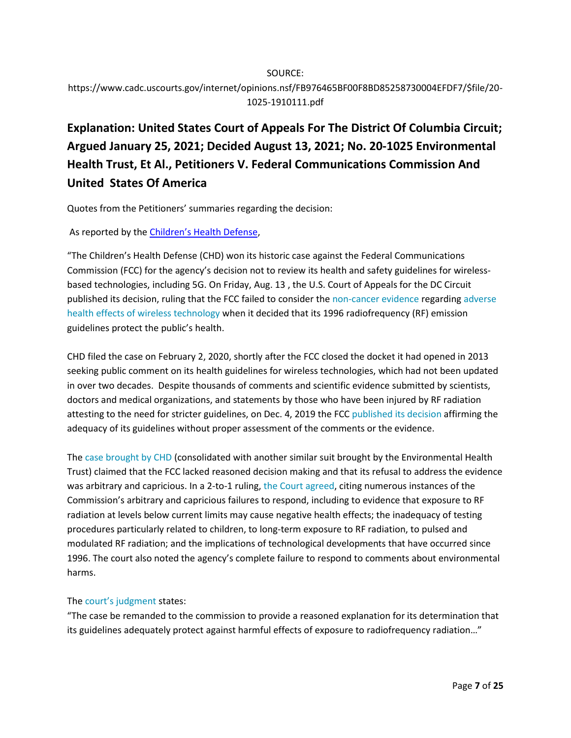### SOURCE: https://www.cadc.uscourts.gov/internet/opinions.nsf/FB976465BF00F8BD85258730004EFDF7/\$file/20- 1025-1910111.pdf

# **Explanation: United States Court of Appeals For The District Of Columbia Circuit; Argued January 25, 2021; Decided August 13, 2021; No. 20-1025 Environmental Health Trust, Et Al., Petitioners V. Federal Communications Commission And United States Of America**

Quotes from the Petitioners' summaries regarding the decision:

As reported by the [Children's Health Defense](https://childrenshealthdefense.org/seeking-justice/legal/chd-v-federal-communication-commission-fcc/#stage8),

"The Children's Health Defense (CHD) won its historic case against the Federal Communications Commission (FCC) for the agency's decision not to review its health and safety guidelines for wirelessbased technologies, including 5G. On Friday, Aug. 13 , the U.S. Court of Appeals for the DC Circuit published its decision, ruling that the FCC failed to consider the [non-cancer evidence](https://childrenshealthdefense.org/wp-content/uploads/Corrected-Brief-and-Hyperlinks-Table-Postable-pdf-A1.pdf) regarding [adverse](https://childrenshealthdefense.org/defender/landmark-5g-case-against-fcc-hearing-set-jan-25/)  [health effects of wireless technology](https://childrenshealthdefense.org/defender/landmark-5g-case-against-fcc-hearing-set-jan-25/) when it decided that its 1996 radiofrequency (RF) emission guidelines protect the public's health.

CHD filed the case on February 2, 2020, shortly after the FCC closed the docket it had opened in 2013 seeking public comment on its health guidelines for wireless technologies, which had not been updated in over two decades. Despite thousands of comments and scientific evidence submitted by scientists, doctors and medical organizations, and statements by those who have been injured by RF radiation attesting to the need for stricter guidelines, on Dec. 4, 2019 the FCC [published its decision](https://www.fcc.gov/general/radio-frequency-safety-0) affirming the adequacy of its guidelines without proper assessment of the comments or the evidence.

The [case brought by CHD](https://childrenshealthdefense.org/wp-content/uploads/Corrected-Brief-and-Hyperlinks-Table-Postable-pdf-A1.pdf) (consolidated with another similar suit brought by the Environmental Health Trust) claimed that the FCC lacked reasoned decision making and that its refusal to address the evidence was arbitrary and capricious. In a 2-to-1 ruling, [the Court agreed,](https://childrenshealthdefense.org/wp-content/uploads/chd-v-fcc-we-won-decision.pdf) citing numerous instances of the Commission's arbitrary and capricious failures to respond, including to evidence that exposure to RF radiation at levels below current limits may cause negative health effects; the inadequacy of testing procedures particularly related to children, to long-term exposure to RF radiation, to pulsed and modulated RF radiation; and the implications of technological developments that have occurred since 1996. The court also noted the agency's complete failure to respond to comments about environmental harms.

#### The [court's judgment](https://childrenshealthdefense.org/wp-content/uploads/chd-v-fcc-we-won-judgement.pdf) states:

"The case be remanded to the commission to provide a reasoned explanation for its determination that its guidelines adequately protect against harmful effects of exposure to radiofrequency radiation…"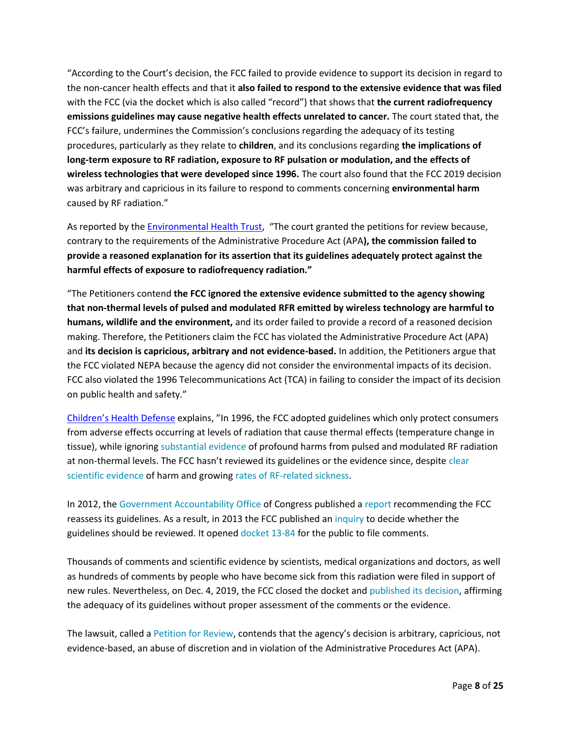"According to the Court's decision, the FCC failed to provide evidence to support its decision in regard to the non-cancer health effects and that it **also failed to respond to the extensive evidence that was filed** with the FCC (via the docket which is also called "record") that shows that **the current radiofrequency emissions guidelines may cause negative health effects unrelated to cancer.** The court stated that, the FCC's failure, undermines the Commission's conclusions regarding the adequacy of its testing procedures, particularly as they relate to **children**, and its conclusions regarding **the implications of long-term exposure to RF radiation, exposure to RF pulsation or modulation, and the effects of wireless technologies that were developed since 1996.** The court also found that the FCC 2019 decision was arbitrary and capricious in its failure to respond to comments concerning **environmental harm** caused by RF radiation."

As reported by the [Environmental Health Trust,](https://ehtrust.org/in-historic-decision-federal-court-finds-fcc-failed-to-explain-why-it-ignored-scientific-evidence-showing-harm-from-wireless-radiation/) "The court granted the petitions for review because, contrary to the requirements of the Administrative Procedure Act (APA**), the commission failed to provide a reasoned explanation for its assertion that its guidelines adequately protect against the harmful effects of exposure to radiofrequency radiation."**

"The Petitioners contend **the FCC ignored the extensive evidence submitted to the agency showing that non-thermal levels of pulsed and modulated RFR emitted by wireless technology are harmful to humans, wildlife and the environment,** and its order failed to provide a record of a reasoned decision making. Therefore, the Petitioners claim the FCC has violated the Administrative Procedure Act (APA) and **its decision is capricious, arbitrary and not evidence-based.** In addition, the Petitioners argue that the FCC violated NEPA because the agency did not consider the environmental impacts of its decision. FCC also violated the 1996 Telecommunications Act (TCA) in failing to consider the impact of its decision on public health and safety."

[Children's Health Defense](https://childrenshealthdefense.org/defender/chd-wins-case-fcc-safety-guidelines-5g-wireless/) explains, "In 1996, the FCC adopted guidelines which only protect consumers from adverse effects occurring at levels of radiation that cause thermal effects (temperature change in tissue), while ignoring [substantial evidence](http://www.5gappeal.eu/the-5g-appeal/) of profound harms from pulsed and modulated RF radiation at non-thermal levels. The FCC hasn't reviewed its guidelines or the evidence since, despite [clear](https://childrenshealthdefense.org/defender/landmark-5g-case-against-fcc-hearing-set-jan-25/)  [scientific evidence](https://childrenshealthdefense.org/defender/landmark-5g-case-against-fcc-hearing-set-jan-25/) of harm and growing [rates of RF-related sickness.](https://childrenshealthdefense.org/news/six-italian-courts-have-ruled-that-cell-phones-cause-brain-tumors/)

In 2012, the [Government Accountability Office](https://www.gao.gov/about/what-gao-does) of Congress published a [report](https://www.gao.gov/products/gao-12-771) recommending the FCC reassess its guidelines. As a result, in 2013 the FCC published an [inquiry](https://www.fcc.gov/document/fcc-review-rf-exposure-policies) to decide whether the guidelines should be reviewed. It opened [docket 13-84](https://www.fcc.gov/ecfs/search/filings?proceedings_name=13-84&sort=date_disseminated,DESC) for the public to file comments.

Thousands of comments and scientific evidence by scientists, medical organizations and doctors, as well as hundreds of comments by people who have become sick from this radiation were filed in support of new rules. Nevertheless, on Dec. 4, 2019, the FCC closed the docket and [published its decision,](https://docs.fcc.gov/public/attachments/FCC-19-126A1.pdf) affirming the adequacy of its guidelines without proper assessment of the comments or the evidence.

The lawsuit, called a [Petition for Review,](https://childrenshealthdefense.org/wp-content/uploads/02-02-2020-CHD-v.-FCC-Petition-for-Review-For-Public.pdf) contends that the agency's decision is arbitrary, capricious, not evidence-based, an abuse of discretion and in violation of the Administrative Procedures Act (APA).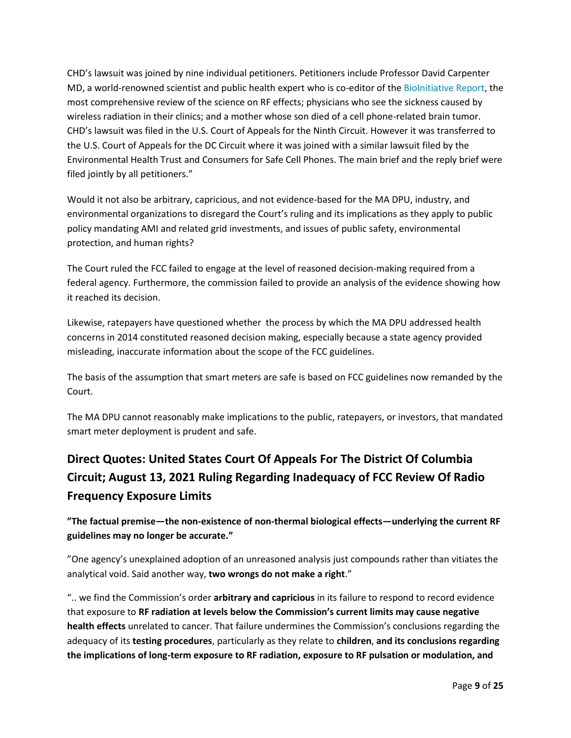CHD's lawsuit was joined by nine individual petitioners. Petitioners include Professor David Carpenter MD, a world-renowned scientist and public health expert who is co-editor of the [BioInitiative Report,](https://bioinitiative.org/) the most comprehensive review of the science on RF effects; physicians who see the sickness caused by wireless radiation in their clinics; and a mother whose son died of a cell phone-related brain tumor. CHD's lawsuit was filed in the U.S. Court of Appeals for the Ninth Circuit. However it was transferred to the U.S. Court of Appeals for the DC Circuit where it was joined with a similar lawsuit filed by the Environmental Health Trust and Consumers for Safe Cell Phones. The main brief and the reply brief were filed jointly by all petitioners."

Would it not also be arbitrary, capricious, and not evidence-based for the MA DPU, industry, and environmental organizations to disregard the Court's ruling and its implications as they apply to public policy mandating AMI and related grid investments, and issues of public safety, environmental protection, and human rights?

The Court ruled the FCC failed to engage at the level of reasoned decision-making required from a federal agency. Furthermore, the commission failed to provide an analysis of the evidence showing how it reached its decision.

Likewise, ratepayers have questioned whether the process by which the MA DPU addressed health concerns in 2014 constituted reasoned decision making, especially because a state agency provided misleading, inaccurate information about the scope of the FCC guidelines.

The basis of the assumption that smart meters are safe is based on FCC guidelines now remanded by the Court.

The MA DPU cannot reasonably make implications to the public, ratepayers, or investors, that mandated smart meter deployment is prudent and safe.

# **Direct Quotes: United States Court Of Appeals For The District Of Columbia Circuit; August 13, 2021 Ruling Regarding Inadequacy of FCC Review Of Radio Frequency Exposure Limits**

**"The factual premise—the non-existence of non-thermal biological effects—underlying the current RF guidelines may no longer be accurate."**

"One agency's unexplained adoption of an unreasoned analysis just compounds rather than vitiates the analytical void. Said another way, **two wrongs do not make a right**."

".. we find the Commission's order **arbitrary and capricious** in its failure to respond to record evidence that exposure to **RF radiation at levels below the Commission's current limits may cause negative health effects** unrelated to cancer. That failure undermines the Commission's conclusions regarding the adequacy of its **testing procedures**, particularly as they relate to **children**, **and its conclusions regarding the implications of long-term exposure to RF radiation, exposure to RF pulsation or modulation, and**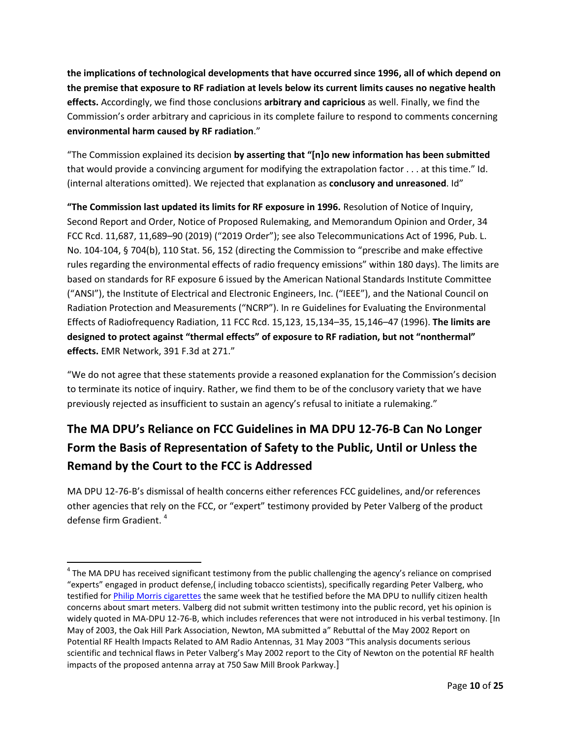**the implications of technological developments that have occurred since 1996, all of which depend on the premise that exposure to RF radiation at levels below its current limits causes no negative health effects.** Accordingly, we find those conclusions **arbitrary and capricious** as well. Finally, we find the Commission's order arbitrary and capricious in its complete failure to respond to comments concerning **environmental harm caused by RF radiation**."

"The Commission explained its decision **by asserting that "[n]o new information has been submitted** that would provide a convincing argument for modifying the extrapolation factor . . . at this time." Id. (internal alterations omitted). We rejected that explanation as **conclusory and unreasoned**. Id"

**"The Commission last updated its limits for RF exposure in 1996.** Resolution of Notice of Inquiry, Second Report and Order, Notice of Proposed Rulemaking, and Memorandum Opinion and Order, 34 FCC Rcd. 11,687, 11,689–90 (2019) ("2019 Order"); see also Telecommunications Act of 1996, Pub. L. No. 104-104, § 704(b), 110 Stat. 56, 152 (directing the Commission to "prescribe and make effective rules regarding the environmental effects of radio frequency emissions" within 180 days). The limits are based on standards for RF exposure 6 issued by the American National Standards Institute Committee ("ANSI"), the Institute of Electrical and Electronic Engineers, Inc. ("IEEE"), and the National Council on Radiation Protection and Measurements ("NCRP"). In re Guidelines for Evaluating the Environmental Effects of Radiofrequency Radiation, 11 FCC Rcd. 15,123, 15,134–35, 15,146–47 (1996). **The limits are designed to protect against "thermal effects" of exposure to RF radiation, but not "nonthermal" effects.** EMR Network, 391 F.3d at 271."

"We do not agree that these statements provide a reasoned explanation for the Commission's decision to terminate its notice of inquiry. Rather, we find them to be of the conclusory variety that we have previously rejected as insufficient to sustain an agency's refusal to initiate a rulemaking."

# **The MA DPU's Reliance on FCC Guidelines in MA DPU 12-76-B Can No Longer Form the Basis of Representation of Safety to the Public, Until or Unless the Remand by the Court to the FCC is Addressed**

MA DPU 12-76-B's dismissal of health concerns either references FCC guidelines, and/or references other agencies that rely on the FCC, or "expert" testimony provided by Peter Valberg of the product defense firm Gradient. 4

 $\overline{\phantom{a}}$ 

<sup>&</sup>lt;sup>4</sup> The MA DPU has received significant testimony from the public challenging the agency's reliance on comprised "experts" engaged in product defense,( including tobacco scientists), specifically regarding Peter Valberg, who testified for [Philip Morris cigarettes](https://www.truthinadvertising.org/wp-content/uploads/2014/05/Phillips-v.-Philip-Morris-order-denying-class-cert-.pdf) the same week that he testified before the MA DPU to nullify citizen health concerns about smart meters. Valberg did not submit written testimony into the public record, yet his opinion is widely quoted in MA-DPU 12-76-B, which includes references that were not introduced in his verbal testimony. [In May of 2003, the Oak Hill Park Association, Newton, MA submitted a" Rebuttal of the May 2002 Report on Potential RF Health Impacts Related to AM Radio Antennas, 31 May 2003 "This analysis documents serious scientific and technical flaws in Peter Valberg's May 2002 report to the City of Newton on the potential RF health impacts of the proposed antenna array at 750 Saw Mill Brook Parkway.]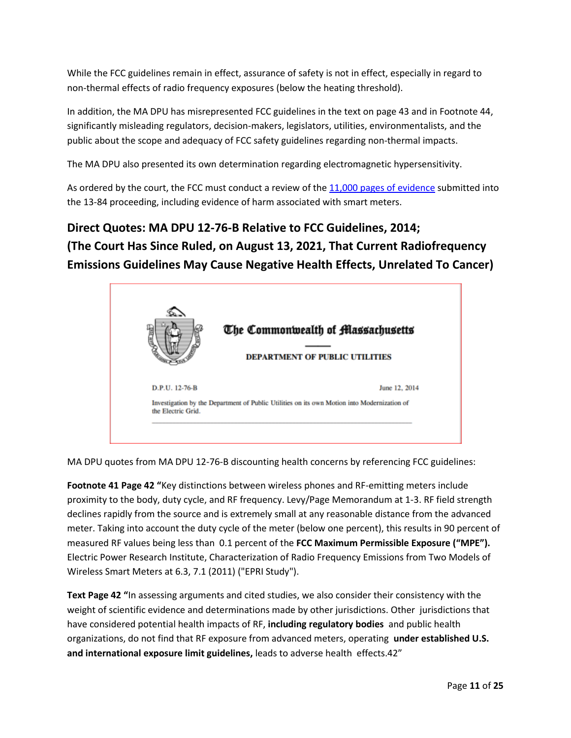While the FCC guidelines remain in effect, assurance of safety is not in effect, especially in regard to non-thermal effects of radio frequency exposures (below the heating threshold).

In addition, the MA DPU has misrepresented FCC guidelines in the text on page 43 and in Footnote 44, significantly misleading regulators, decision-makers, legislators, utilities, environmentalists, and the public about the scope and adequacy of FCC safety guidelines regarding non-thermal impacts.

The MA DPU also presented its own determination regarding electromagnetic hypersensitivity.

As ordered by the court, the FCC must conduct a review of the [11,000 pages of](https://childrenshealthdefense.org/defender/landmark-5g-case-against-fcc-hearing-set-jan-25/) evidence submitted into the 13-84 proceeding, including evidence of harm associated with smart meters.

# **Direct Quotes: MA DPU 12-76-B Relative to FCC Guidelines, 2014; (The Court Has Since Ruled, on August 13, 2021, That Current Radiofrequency Emissions Guidelines May Cause Negative Health Effects, Unrelated To Cancer)**



MA DPU quotes from MA DPU 12-76-B discounting health concerns by referencing FCC guidelines:

**Footnote 41 Page 42 "**Key distinctions between wireless phones and RF-emitting meters include proximity to the body, duty cycle, and RF frequency. Levy/Page Memorandum at 1-3. RF field strength declines rapidly from the source and is extremely small at any reasonable distance from the advanced meter. Taking into account the duty cycle of the meter (below one percent), this results in 90 percent of measured RF values being less than 0.1 percent of the **FCC Maximum Permissible Exposure ("MPE").** Electric Power Research Institute, Characterization of Radio Frequency Emissions from Two Models of Wireless Smart Meters at 6.3, 7.1 (2011) ("EPRI Study").

**Text Page 42 "**In assessing arguments and cited studies, we also consider their consistency with the weight of scientific evidence and determinations made by other jurisdictions. Other jurisdictions that have considered potential health impacts of RF, **including regulatory bodies** and public health organizations, do not find that RF exposure from advanced meters, operating **under established U.S. and international exposure limit guidelines,** leads to adverse health effects.42"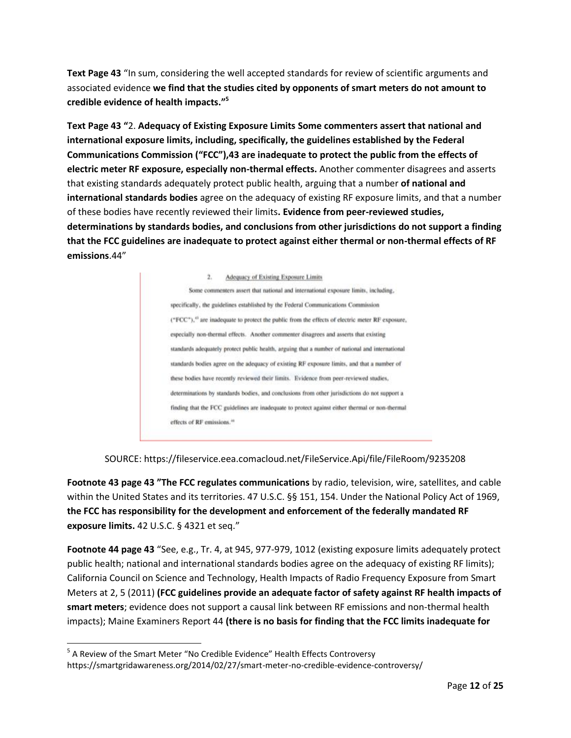**Text Page 43** "In sum, considering the well accepted standards for review of scientific arguments and associated evidence **we find that the studies cited by opponents of smart meters do not amount to credible evidence of health impacts." 5**

**Text Page 43 "**2. **Adequacy of Existing Exposure Limits Some commenters assert that national and international exposure limits, including, specifically, the guidelines established by the Federal Communications Commission ("FCC"),43 are inadequate to protect the public from the effects of electric meter RF exposure, especially non-thermal effects.** Another commenter disagrees and asserts that existing standards adequately protect public health, arguing that a number **of national and international standards bodies** agree on the adequacy of existing RF exposure limits, and that a number of these bodies have recently reviewed their limits**. Evidence from peer-reviewed studies, determinations by standards bodies, and conclusions from other jurisdictions do not support a finding that the FCC guidelines are inadequate to protect against either thermal or non-thermal effects of RF emissions**.44"

> $2.$ Adequacy of Existing Exposure Limits Some commenters assert that national and international exposure limits, including, specifically, the guidelines established by the Federal Communications Commission ("FCC"),<sup>43</sup> are inadequate to protect the public from the effects of electric meter RF exposure, especially non-thermal effects. Another commenter disagrees and asserts that existing standards adequately protect public health, arguing that a number of national and international standards bodies agree on the adequacy of existing RF exposure limits, and that a number of these bodies have recently reviewed their limits. Evidence from peer-reviewed studies, determinations by standards bodies, and conclusions from other jurisdictions do not support a finding that the FCC guidelines are inadequate to protect against either thermal or non-thermal effects of RF emissions.<sup>44</sup>

SOURCE: https://fileservice.eea.comacloud.net/FileService.Api/file/FileRoom/9235208

**Footnote 43 page 43 "The FCC regulates communications** by radio, television, wire, satellites, and cable within the United States and its territories. 47 U.S.C. §§ 151, 154. Under the National Policy Act of 1969, **the FCC has responsibility for the development and enforcement of the federally mandated RF exposure limits.** 42 U.S.C. § 4321 et seq."

**Footnote 44 page 43** "See, e.g., Tr. 4, at 945, 977-979, 1012 (existing exposure limits adequately protect public health; national and international standards bodies agree on the adequacy of existing RF limits); California Council on Science and Technology, Health Impacts of Radio Frequency Exposure from Smart Meters at 2, 5 (2011) **(FCC guidelines provide an adequate factor of safety against RF health impacts of smart meters**; evidence does not support a causal link between RF emissions and non-thermal health impacts); Maine Examiners Report 44 **(there is no basis for finding that the FCC limits inadequate for** 

l

<sup>&</sup>lt;sup>5</sup> A Review of the Smart Meter "No Credible Evidence" Health Effects Controversy https://smartgridawareness.org/2014/02/27/smart-meter-no-credible-evidence-controversy/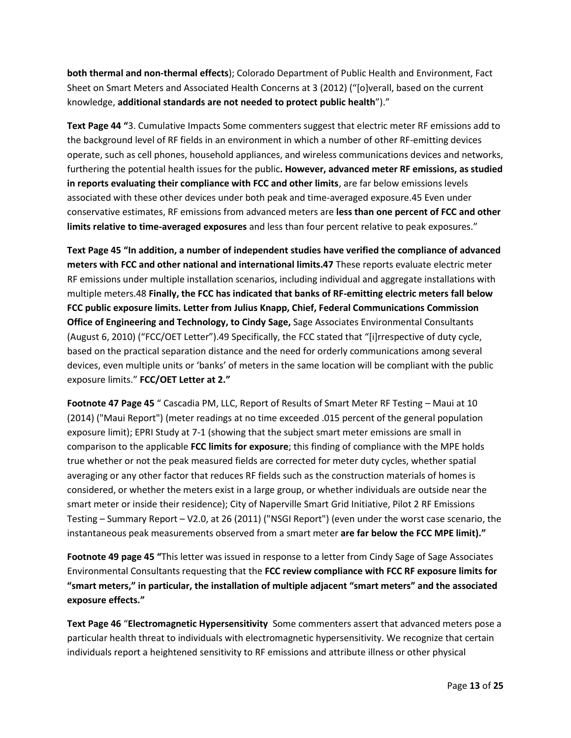**both thermal and non-thermal effects**); Colorado Department of Public Health and Environment, Fact Sheet on Smart Meters and Associated Health Concerns at 3 (2012) ("[o]verall, based on the current knowledge, **additional standards are not needed to protect public health**")."

**Text Page 44 "**3. Cumulative Impacts Some commenters suggest that electric meter RF emissions add to the background level of RF fields in an environment in which a number of other RF-emitting devices operate, such as cell phones, household appliances, and wireless communications devices and networks, furthering the potential health issues for the public**. However, advanced meter RF emissions, as studied in reports evaluating their compliance with FCC and other limits**, are far below emissions levels associated with these other devices under both peak and time-averaged exposure.45 Even under conservative estimates, RF emissions from advanced meters are **less than one percent of FCC and other limits relative to time-averaged exposures** and less than four percent relative to peak exposures."

**Text Page 45 "In addition, a number of independent studies have verified the compliance of advanced meters with FCC and other national and international limits.47** These reports evaluate electric meter RF emissions under multiple installation scenarios, including individual and aggregate installations with multiple meters.48 **Finally, the FCC has indicated that banks of RF-emitting electric meters fall below FCC public exposure limits. Letter from Julius Knapp, Chief, Federal Communications Commission Office of Engineering and Technology, to Cindy Sage,** Sage Associates Environmental Consultants (August 6, 2010) ("FCC/OET Letter").49 Specifically, the FCC stated that "[i]rrespective of duty cycle, based on the practical separation distance and the need for orderly communications among several devices, even multiple units or 'banks' of meters in the same location will be compliant with the public exposure limits." **FCC/OET Letter at 2."**

**Footnote 47 Page 45** " Cascadia PM, LLC, Report of Results of Smart Meter RF Testing – Maui at 10 (2014) ("Maui Report") (meter readings at no time exceeded .015 percent of the general population exposure limit); EPRI Study at 7-1 (showing that the subject smart meter emissions are small in comparison to the applicable **FCC limits for exposure**; this finding of compliance with the MPE holds true whether or not the peak measured fields are corrected for meter duty cycles, whether spatial averaging or any other factor that reduces RF fields such as the construction materials of homes is considered, or whether the meters exist in a large group, or whether individuals are outside near the smart meter or inside their residence); City of Naperville Smart Grid Initiative, Pilot 2 RF Emissions Testing – Summary Report – V2.0, at 26 (2011) ("NSGI Report") (even under the worst case scenario, the instantaneous peak measurements observed from a smart meter **are far below the FCC MPE limit)."**

**Footnote 49 page 45 "**This letter was issued in response to a letter from Cindy Sage of Sage Associates Environmental Consultants requesting that the **FCC review compliance with FCC RF exposure limits for "smart meters," in particular, the installation of multiple adjacent "smart meters" and the associated exposure effects."**

**Text Page 46** "**Electromagnetic Hypersensitivity** Some commenters assert that advanced meters pose a particular health threat to individuals with electromagnetic hypersensitivity. We recognize that certain individuals report a heightened sensitivity to RF emissions and attribute illness or other physical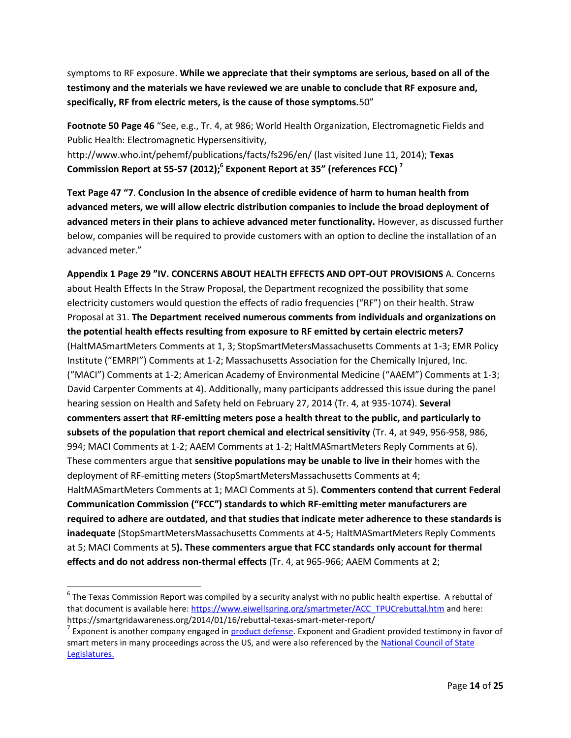symptoms to RF exposure. **While we appreciate that their symptoms are serious, based on all of the testimony and the materials we have reviewed we are unable to conclude that RF exposure and, specifically, RF from electric meters, is the cause of those symptoms.**50"

**Footnote 50 Page 46** "See, e.g., Tr. 4, at 986; World Health Organization, Electromagnetic Fields and Public Health: Electromagnetic Hypersensitivity, http://www.who.int/pehemf/publications/facts/fs296/en/ (last visited June 11, 2014); **Texas Commission Report at 55-57 (2012);<sup>6</sup> Exponent Report at 35" (references FCC) <sup>7</sup>**

**Text Page 47 "7**. **Conclusion In the absence of credible evidence of harm to human health from advanced meters, we will allow electric distribution companies to include the broad deployment of advanced meters in their plans to achieve advanced meter functionality.** However, as discussed further below, companies will be required to provide customers with an option to decline the installation of an advanced meter."

**Appendix 1 Page 29 "IV. CONCERNS ABOUT HEALTH EFFECTS AND OPT-OUT PROVISIONS** A. Concerns about Health Effects In the Straw Proposal, the Department recognized the possibility that some electricity customers would question the effects of radio frequencies ("RF") on their health. Straw Proposal at 31. **The Department received numerous comments from individuals and organizations on the potential health effects resulting from exposure to RF emitted by certain electric meters7** (HaltMASmartMeters Comments at 1, 3; StopSmartMetersMassachusetts Comments at 1-3; EMR Policy Institute ("EMRPI") Comments at 1-2; Massachusetts Association for the Chemically Injured, Inc. ("MACI") Comments at 1-2; American Academy of Environmental Medicine ("AAEM") Comments at 1-3; David Carpenter Comments at 4). Additionally, many participants addressed this issue during the panel hearing session on Health and Safety held on February 27, 2014 (Tr. 4, at 935-1074). **Several commenters assert that RF-emitting meters pose a health threat to the public, and particularly to subsets of the population that report chemical and electrical sensitivity** (Tr. 4, at 949, 956-958, 986, 994; MACI Comments at 1-2; AAEM Comments at 1-2; HaltMASmartMeters Reply Comments at 6). These commenters argue that **sensitive populations may be unable to live in their** homes with the deployment of RF-emitting meters (StopSmartMetersMassachusetts Comments at 4; HaltMASmartMeters Comments at 1; MACI Comments at 5). **Commenters contend that current Federal Communication Commission ("FCC") standards to which RF-emitting meter manufacturers are required to adhere are outdated, and that studies that indicate meter adherence to these standards is inadequate** (StopSmartMetersMassachusetts Comments at 4-5; HaltMASmartMeters Reply Comments at 5; MACI Comments at 5**). These commenters argue that FCC standards only account for thermal effects and do not address non-thermal effects** (Tr. 4, at 965-966; AAEM Comments at 2;

 $\overline{\phantom{a}}$ 

 $^6$  The Texas Commission Report was compiled by a security analyst with no public health expertise. A rebuttal of that document is available here: [https://www.eiwellspring.org/smartmeter/ACC\\_TPUCrebuttal.htm](https://www.eiwellspring.org/smartmeter/ACC_TPUCrebuttal.htm) and here: https://smartgridawareness.org/2014/01/16/rebuttal-texas-smart-meter-report/

<sup>&</sup>lt;sup>7</sup> Exponent is another company engaged in **product defense**. Exponent and Gradient provided testimony in favor of smart meters in many proceedings across the US, and were also referenced by the National Council of State [Legislatures.](https://www.ncsl.org/documents/energy/Oldak_PPT.pdf)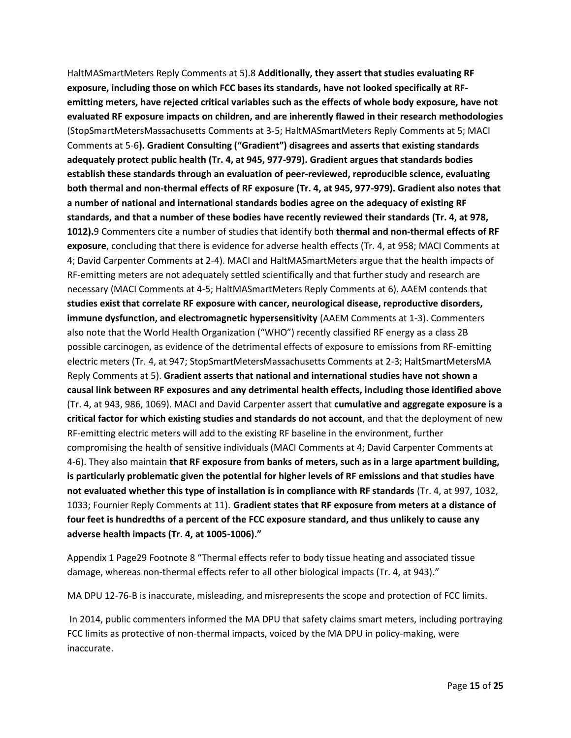HaltMASmartMeters Reply Comments at 5).8 **Additionally, they assert that studies evaluating RF exposure, including those on which FCC bases its standards, have not looked specifically at RFemitting meters, have rejected critical variables such as the effects of whole body exposure, have not evaluated RF exposure impacts on children, and are inherently flawed in their research methodologies** (StopSmartMetersMassachusetts Comments at 3-5; HaltMASmartMeters Reply Comments at 5; MACI Comments at 5-6**). Gradient Consulting ("Gradient") disagrees and asserts that existing standards adequately protect public health (Tr. 4, at 945, 977-979). Gradient argues that standards bodies establish these standards through an evaluation of peer-reviewed, reproducible science, evaluating both thermal and non-thermal effects of RF exposure (Tr. 4, at 945, 977-979). Gradient also notes that a number of national and international standards bodies agree on the adequacy of existing RF standards, and that a number of these bodies have recently reviewed their standards (Tr. 4, at 978, 1012).**9 Commenters cite a number of studies that identify both **thermal and non-thermal effects of RF exposure**, concluding that there is evidence for adverse health effects (Tr. 4, at 958; MACI Comments at 4; David Carpenter Comments at 2-4). MACI and HaltMASmartMeters argue that the health impacts of RF-emitting meters are not adequately settled scientifically and that further study and research are necessary (MACI Comments at 4-5; HaltMASmartMeters Reply Comments at 6). AAEM contends that **studies exist that correlate RF exposure with cancer, neurological disease, reproductive disorders, immune dysfunction, and electromagnetic hypersensitivity** (AAEM Comments at 1-3). Commenters also note that the World Health Organization ("WHO") recently classified RF energy as a class 2B possible carcinogen, as evidence of the detrimental effects of exposure to emissions from RF-emitting electric meters (Tr. 4, at 947; StopSmartMetersMassachusetts Comments at 2-3; HaltSmartMetersMA Reply Comments at 5). **Gradient asserts that national and international studies have not shown a causal link between RF exposures and any detrimental health effects, including those identified above** (Tr. 4, at 943, 986, 1069). MACI and David Carpenter assert that **cumulative and aggregate exposure is a critical factor for which existing studies and standards do not account**, and that the deployment of new RF-emitting electric meters will add to the existing RF baseline in the environment, further compromising the health of sensitive individuals (MACI Comments at 4; David Carpenter Comments at 4-6). They also maintain **that RF exposure from banks of meters, such as in a large apartment building, is particularly problematic given the potential for higher levels of RF emissions and that studies have not evaluated whether this type of installation is in compliance with RF standards** (Tr. 4, at 997, 1032, 1033; Fournier Reply Comments at 11). **Gradient states that RF exposure from meters at a distance of four feet is hundredths of a percent of the FCC exposure standard, and thus unlikely to cause any adverse health impacts (Tr. 4, at 1005-1006)."**

Appendix 1 Page29 Footnote 8 "Thermal effects refer to body tissue heating and associated tissue damage, whereas non-thermal effects refer to all other biological impacts (Tr. 4, at 943)."

MA DPU 12-76-B is inaccurate, misleading, and misrepresents the scope and protection of FCC limits.

In 2014, public commenters informed the MA DPU that safety claims smart meters, including portraying FCC limits as protective of non-thermal impacts, voiced by the MA DPU in policy-making, were inaccurate.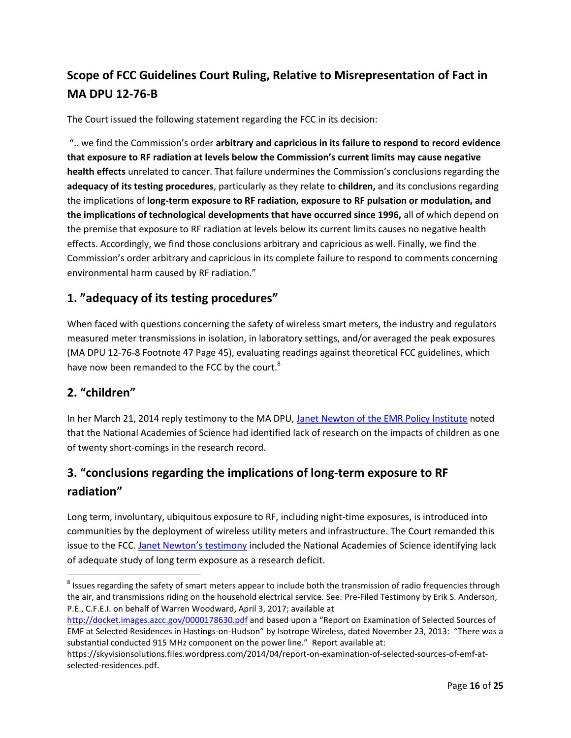## **Scope of FCC Guidelines Court Ruling, Relative to Misrepresentation of Fact in MA DPU 12-76-B**

The Court issued the following statement regarding the FCC in its decision:

".. we find the Commission's order **arbitrary and capricious in its failure to respond to record evidence that exposure to RF radiation at levels below the Commission's current limits may cause negative health effects** unrelated to cancer. That failure undermines the Commission's conclusions regarding the **adequacy of its testing procedures**, particularly as they relate to **children,** and its conclusions regarding the implications of **long-term exposure to RF radiation, exposure to RF pulsation or modulation, and the implications of technological developments that have occurred since 1996,** all of which depend on the premise that exposure to RF radiation at levels below its current limits causes no negative health effects. Accordingly, we find those conclusions arbitrary and capricious as well. Finally, we find the Commission's order arbitrary and capricious in its complete failure to respond to comments concerning environmental harm caused by RF radiation."

### **1. "adequacy of its testing procedures"**

When faced with questions concerning the safety of wireless smart meters, the industry and regulators measured meter transmissions in isolation, in laboratory settings, and/or averaged the peak exposures (MA DPU 12-76-8 Footnote 47 Page 45), evaluating readings against theoretical FCC guidelines, which have now been remanded to the FCC by the court.<sup>8</sup>

### **2. "children"**

 $\overline{\phantom{a}}$ 

In her March 21, 2014 reply testimony to the MA DPU, [Janet Newton of the EMR Policy Institute](https://fileservice.eea.comacloud.net/FileService.Api/file/FileRoom/9237952) noted that the National Academies of Science had identified lack of research on the impacts of children as one of twenty short-comings in the research record.

### **3. "conclusions regarding the implications of long-term exposure to RF radiation"**

Long term, involuntary, ubiquitous exposure to RF, including night-time exposures, is introduced into communities by the deployment of wireless utility meters and infrastructure. The Court remanded this issue to the FCC. [Janet Newton's testimony](https://fileservice.eea.comacloud.net/FileService.Api/file/FileRoom/9237952) included the National Academies of Science identifying lack of adequate study of long term exposure as a research deficit.

 $^8$  Issues regarding the safety of smart meters appear to include both the transmission of radio frequencies through the air, and transmissions riding on the household electrical service. See: Pre-Filed Testimony by Erik S. Anderson, P.E., C.F.E.I. on behalf of Warren Woodward, April 3, 2017; available at

<http://docket.images.azcc.gov/0000178630.pdf> and based upon a "Report on Examination of Selected Sources of EMF at Selected Residences in Hastings-on-Hudson" by Isotrope Wireless, dated November 23, 2013: "There was a substantial conducted 915 MHz component on the power line." Report available at:

https://skyvisionsolutions.files.wordpress.com/2014/04/report-on-examination-of-selected-sources-of-emf-atselected-residences.pdf.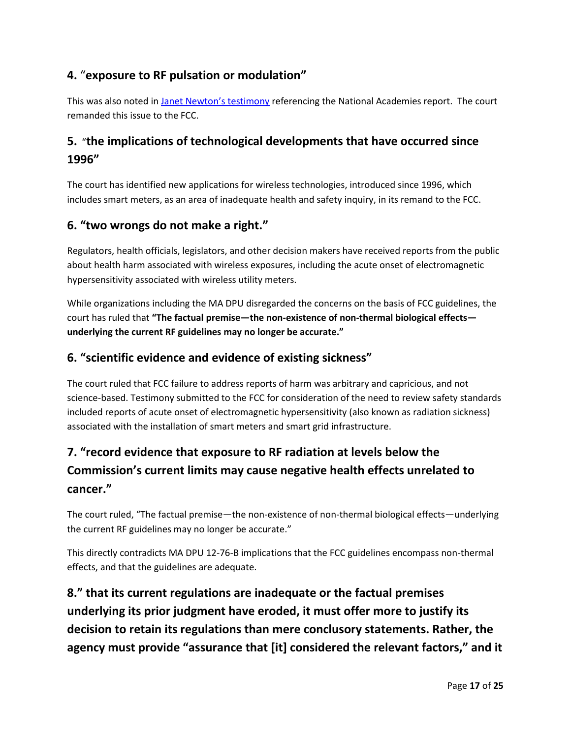### **4.** "**exposure to RF pulsation or modulation"**

This was also noted in [Janet Newton's](https://fileservice.eea.comacloud.net/FileService.Api/file/FileRoom/9237952) testimony referencing the National Academies report. The court remanded this issue to the FCC.

### **5.** "**the implications of technological developments that have occurred since 1996"**

The court has identified new applications for wireless technologies, introduced since 1996, which includes smart meters, as an area of inadequate health and safety inquiry, in its remand to the FCC.

### **6. "two wrongs do not make a right."**

Regulators, health officials, legislators, and other decision makers have received reports from the public about health harm associated with wireless exposures, including the acute onset of electromagnetic hypersensitivity associated with wireless utility meters.

While organizations including the MA DPU disregarded the concerns on the basis of FCC guidelines, the court has ruled that **"The factual premise—the non-existence of non-thermal biological effects underlying the current RF guidelines may no longer be accurate."**

### **6. "scientific evidence and evidence of existing sickness"**

The court ruled that FCC failure to address reports of harm was arbitrary and capricious, and not science-based. Testimony submitted to the FCC for consideration of the need to review safety standards included reports of acute onset of electromagnetic hypersensitivity (also known as radiation sickness) associated with the installation of smart meters and smart grid infrastructure.

# **7. "record evidence that exposure to RF radiation at levels below the Commission's current limits may cause negative health effects unrelated to cancer."**

The court ruled, "The factual premise—the non-existence of non-thermal biological effects—underlying the current RF guidelines may no longer be accurate."

This directly contradicts MA DPU 12-76-B implications that the FCC guidelines encompass non-thermal effects, and that the guidelines are adequate.

**8." that its current regulations are inadequate or the factual premises underlying its prior judgment have eroded, it must offer more to justify its decision to retain its regulations than mere conclusory statements. Rather, the agency must provide "assurance that [it] considered the relevant factors," and it**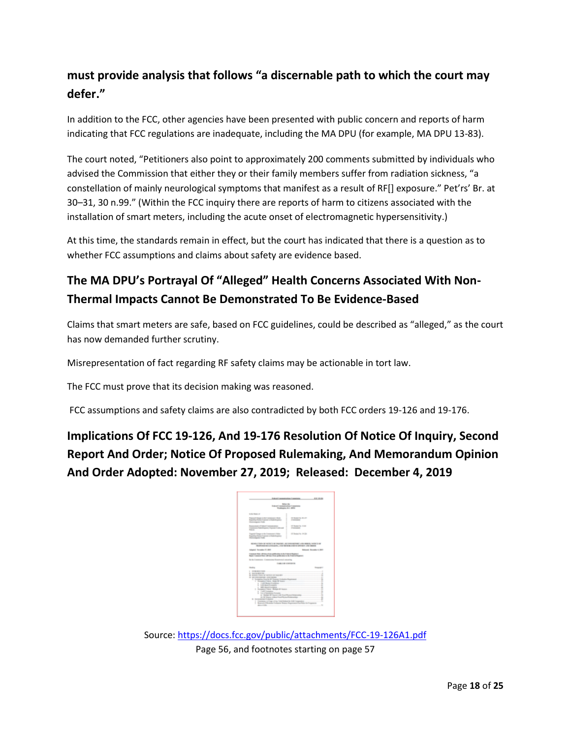### **must provide analysis that follows "a discernable path to which the court may defer."**

In addition to the FCC, other agencies have been presented with public concern and reports of harm indicating that FCC regulations are inadequate, including the MA DPU (for example, MA DPU 13-83).

The court noted, "Petitioners also point to approximately 200 comments submitted by individuals who advised the Commission that either they or their family members suffer from radiation sickness, "a constellation of mainly neurological symptoms that manifest as a result of RF[] exposure." Pet'rs' Br. at 30–31, 30 n.99." (Within the FCC inquiry there are reports of harm to citizens associated with the installation of smart meters, including the acute onset of electromagnetic hypersensitivity.)

At this time, the standards remain in effect, but the court has indicated that there is a question as to whether FCC assumptions and claims about safety are evidence based.

## **The MA DPU's Portrayal Of "Alleged" Health Concerns Associated With Non-Thermal Impacts Cannot Be Demonstrated To Be Evidence-Based**

Claims that smart meters are safe, based on FCC guidelines, could be described as "alleged," as the court has now demanded further scrutiny.

Misrepresentation of fact regarding RF safety claims may be actionable in tort law.

The FCC must prove that its decision making was reasoned.

FCC assumptions and safety claims are also contradicted by both FCC orders 19-126 and 19-176.

**Implications Of FCC 19-126, And 19-176 Resolution Of Notice Of Inquiry, Second Report And Order; Notice Of Proposed Rulemaking, And Memorandum Opinion And Order Adopted: November 27, 2019; Released: December 4, 2019**

|                                                                                                                                                | <b><i>Commission Commiss</i></b><br><b>ALC: US AND</b>                                                                             |
|------------------------------------------------------------------------------------------------------------------------------------------------|------------------------------------------------------------------------------------------------------------------------------------|
| <b>Ballion (Bar</b><br><b>Endeavor Commercial Constitutions</b>                                                                                |                                                                                                                                    |
| Woodmann At 4 AMHz                                                                                                                             |                                                                                                                                    |
| <b>Scille Motor of</b><br>ı.<br>ī                                                                                                              |                                                                                                                                    |
| The contribution is the transmission fully<br>Registing Market & speeds at Made Angelese<br>٠<br><b>Democratizers</b> Folks<br>÷<br>÷          | ï.<br><b>IT BUSINESS IN ANY</b><br><b>CONTRACTOR</b>                                                                               |
| <b>Represented ATA And Theorems about</b><br>Telephone Ratchback / Telephone Asia and<br>٠<br><b>Address</b><br>٠<br>i                         | <b>ET Shower Tex. 15-AV</b><br>ı.<br><b>Planning</b>                                                                               |
| Engine Charge a site Construtor's Rate<br>Reporting Names Copyright is Ford Avenues<br><b>Statement Folk</b><br>٠                              | 17 Section Inc. 18-236<br>ı<br>÷                                                                                                   |
| MONEY CARD OF NOTATILE AND CARDIOGRAPHICAL COMMUNIST CARDIOGRAPHICAL CARDIOGRAPHICAL<br>MORRAND & LEWIS CO., CAN MONTH CORP. IN CASE CAN CREAT |                                                                                                                                    |
| Infrased Terrandez (7) 565-                                                                                                                    | <b>Britannik</b> (Recording to 2007)                                                                                               |
| I want for 15 inches official ich Cdr i Squit                                                                                                  |                                                                                                                                    |
|                                                                                                                                                |                                                                                                                                    |
|                                                                                                                                                |                                                                                                                                    |
| <b>LIGHT &amp; OR COMPANYS</b>                                                                                                                 |                                                                                                                                    |
| Not consistent to such a precent in trailer higher.<br>In the Constitution: Commissioner Economist concerning<br><b>Bradley</b>                | <b>Separate</b>                                                                                                                    |
| the contract of the contract of the                                                                                                            |                                                                                                                                    |
|                                                                                                                                                | ٠                                                                                                                                  |
|                                                                                                                                                |                                                                                                                                    |
|                                                                                                                                                |                                                                                                                                    |
|                                                                                                                                                | A Complete South of Exposer Schools Expires at the Complete Service Service Service Service Service                                |
|                                                                                                                                                | A control Manufacture Programmers<br>÷                                                                                             |
|                                                                                                                                                | A ROBINSTOWED CONTINUES.                                                                                                           |
| <b>STATISTICS</b> AND CONTINUES.                                                                                                               |                                                                                                                                    |
|                                                                                                                                                | I knowledge to the first terms.<br>÷                                                                                               |
|                                                                                                                                                | I will constitute a constitution of the constitution of the constitution of the con-                                               |
|                                                                                                                                                | to all formation formats and an experimental product of the form of the contract of the contract of the con-                       |
|                                                                                                                                                | the Minimum subject through the printers and the company<br>۰                                                                      |
|                                                                                                                                                |                                                                                                                                    |
| 1. Including the country<br>5. SALESMAN,<br>B. BORD CRISING OF HELL OF DELIVER.<br>٠                                                           | Continues in Figgs of the Traditional de EAD Companies                                                                             |
|                                                                                                                                                | Romers' of Monetary Trainings States Experiment For Adaptation and Company<br>dentile the control of the control of the control of |

Source[: https://docs.fcc.gov/public/attachments/FCC-19-126A1.pdf](https://docs.fcc.gov/public/attachments/FCC-19-126A1.pdf)  Page 56, and footnotes starting on page 57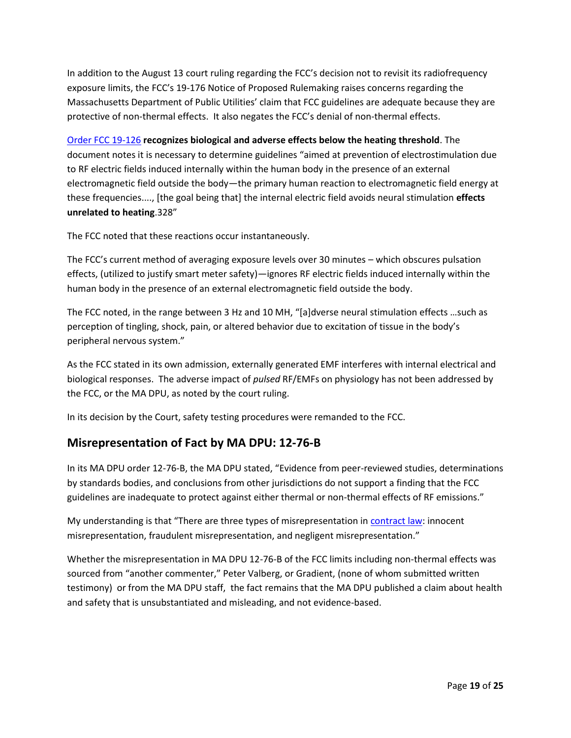In addition to the August 13 court ruling regarding the FCC's decision not to revisit its radiofrequency exposure limits, the FCC's 19-176 Notice of Proposed Rulemaking raises concerns regarding the Massachusetts Department of Public Utilities' claim that FCC guidelines are adequate because they are protective of non-thermal effects. It also negates the FCC's denial of non-thermal effects.

[Order FCC 19-126](https://docs.fcc.gov/public/attachments/FCC-19-126A1.pdf) **recognizes biological and adverse effects below the heating threshold**. The document notes it is necessary to determine guidelines "aimed at prevention of electrostimulation due to RF electric fields induced internally within the human body in the presence of an external electromagnetic field outside the body—the primary human reaction to electromagnetic field energy at these frequencies...., [the goal being that] the internal electric field avoids neural stimulation **effects unrelated to heating**.328"

The FCC noted that these reactions occur instantaneously.

The FCC's current method of averaging exposure levels over 30 minutes – which obscures pulsation effects, (utilized to justify smart meter safety)—ignores RF electric fields induced internally within the human body in the presence of an external electromagnetic field outside the body.

The FCC noted, in the range between 3 Hz and 10 MH, "[a]dverse neural stimulation effects …such as perception of tingling, shock, pain, or altered behavior due to excitation of tissue in the body's peripheral nervous system."

As the FCC stated in its own admission, externally generated EMF interferes with internal electrical and biological responses. The adverse impact of *pulsed* RF/EMFs on physiology has not been addressed by the FCC, or the MA DPU, as noted by the court ruling.

In its decision by the Court, safety testing procedures were remanded to the FCC.

### **Misrepresentation of Fact by MA DPU: 12-76-B**

In its MA DPU order 12-76-B, the MA DPU stated, "Evidence from peer-reviewed studies, determinations by standards bodies, and conclusions from other jurisdictions do not support a finding that the FCC guidelines are inadequate to protect against either thermal or non-thermal effects of RF emissions."

My understanding is that "There are three types of misrepresentation in [contract law:](https://legaldictionary.net/misrepresentation/) innocent misrepresentation, fraudulent misrepresentation, and negligent misrepresentation."

Whether the misrepresentation in MA DPU 12-76-B of the FCC limits including non-thermal effects was sourced from "another commenter," Peter Valberg, or Gradient, (none of whom submitted written testimony) or from the MA DPU staff, the fact remains that the MA DPU published a claim about health and safety that is unsubstantiated and misleading, and not evidence-based.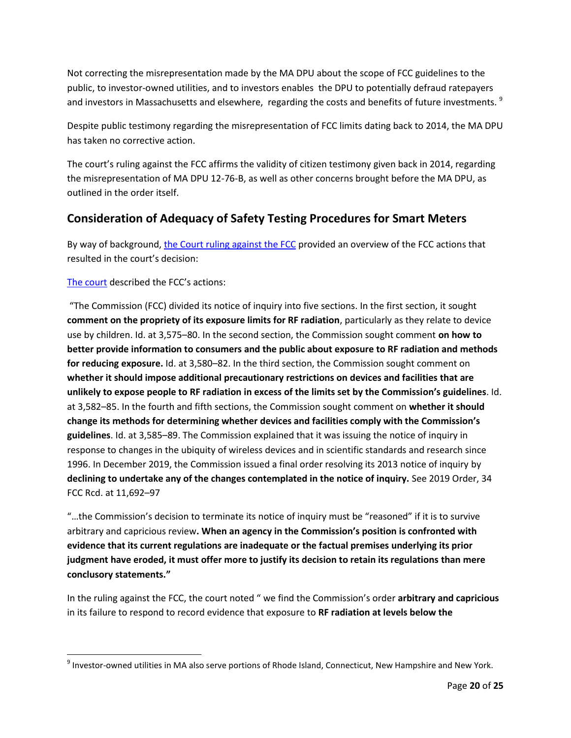Not correcting the misrepresentation made by the MA DPU about the scope of FCC guidelines to the public, to investor-owned utilities, and to investors enables the DPU to potentially defraud ratepayers and investors in Massachusetts and elsewhere, regarding the costs and benefits of future investments.<sup>9</sup>

Despite public testimony regarding the misrepresentation of FCC limits dating back to 2014, the MA DPU has taken no corrective action.

The court's ruling against the FCC affirms the validity of citizen testimony given back in 2014, regarding the misrepresentation of MA DPU 12-76-B, as well as other concerns brought before the MA DPU, as outlined in the order itself.

### **Consideration of Adequacy of Safety Testing Procedures for Smart Meters**

By way of background, [the Court ruling against the FCC](https://www.cadc.uscourts.gov/internet/opinions.nsf/FB976465BF00F8BD85258730004EFDF7/$file/20-1025-1910111.pdf) provided an overview of the FCC actions that resulted in the court's decision:

#### [The court](https://www.cadc.uscourts.gov/internet/opinions.nsf/FB976465BF00F8BD85258730004EFDF7/$file/20-1025-1910111.pdf) described the FCC's actions:

 $\overline{\phantom{a}}$ 

"The Commission (FCC) divided its notice of inquiry into five sections. In the first section, it sought **comment on the propriety of its exposure limits for RF radiation**, particularly as they relate to device use by children. Id. at 3,575–80. In the second section, the Commission sought comment **on how to better provide information to consumers and the public about exposure to RF radiation and methods for reducing exposure.** Id. at 3,580–82. In the third section, the Commission sought comment on **whether it should impose additional precautionary restrictions on devices and facilities that are unlikely to expose people to RF radiation in excess of the limits set by the Commission's guidelines**. Id. at 3,582–85. In the fourth and fifth sections, the Commission sought comment on **whether it should change its methods for determining whether devices and facilities comply with the Commission's guidelines**. Id. at 3,585–89. The Commission explained that it was issuing the notice of inquiry in response to changes in the ubiquity of wireless devices and in scientific standards and research since 1996. In December 2019, the Commission issued a final order resolving its 2013 notice of inquiry by **declining to undertake any of the changes contemplated in the notice of inquiry.** See 2019 Order, 34 FCC Rcd. at 11,692–97

"…the Commission's decision to terminate its notice of inquiry must be "reasoned" if it is to survive arbitrary and capricious review**. When an agency in the Commission's position is confronted with evidence that its current regulations are inadequate or the factual premises underlying its prior judgment have eroded, it must offer more to justify its decision to retain its regulations than mere conclusory statements."**

In the ruling against the FCC, the court noted " we find the Commission's order **arbitrary and capricious** in its failure to respond to record evidence that exposure to **RF radiation at levels below the** 

 $^9$  Investor-owned utilities in MA also serve portions of Rhode Island, Connecticut, New Hampshire and New York.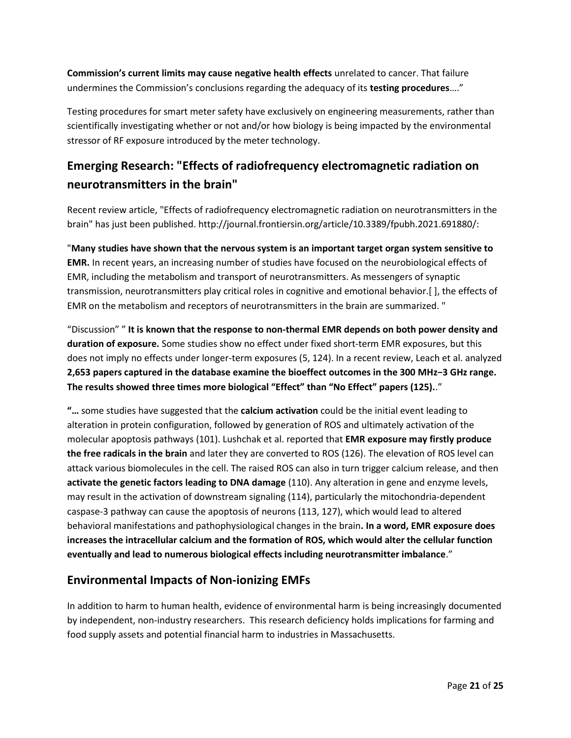**Commission's current limits may cause negative health effects** unrelated to cancer. That failure undermines the Commission's conclusions regarding the adequacy of its **testing procedures**…."

Testing procedures for smart meter safety have exclusively on engineering measurements, rather than scientifically investigating whether or not and/or how biology is being impacted by the environmental stressor of RF exposure introduced by the meter technology.

## **Emerging Research: "Effects of radiofrequency electromagnetic radiation on neurotransmitters in the brain"**

Recent review article, "Effects of radiofrequency electromagnetic radiation on neurotransmitters in the brain" has just been published. http://journal.frontiersin.org/article/10.3389/fpubh.2021.691880/:

"**Many studies have shown that the nervous system is an important target organ system sensitive to EMR.** In recent years, an increasing number of studies have focused on the neurobiological effects of EMR, including the metabolism and transport of neurotransmitters. As messengers of synaptic transmission, neurotransmitters play critical roles in cognitive and emotional behavior.[ ], the effects of EMR on the metabolism and receptors of neurotransmitters in the brain are summarized. "

"Discussion" " **It is known that the response to non-thermal EMR depends on both power density and duration of exposure.** Some studies show no effect under fixed short-term EMR exposures, but this does not imply no effects under longer-term exposures (5, 124). In a recent review, Leach et al. analyzed **2,653 papers captured in the database examine the bioeffect outcomes in the 300 MHz−3 GHz range. The results showed three times more biological "Effect" than "No Effect" papers (125).**."

**"…** some studies have suggested that the **calcium activation** could be the initial event leading to alteration in protein configuration, followed by generation of ROS and ultimately activation of the molecular apoptosis pathways (101). Lushchak et al. reported that **EMR exposure may firstly produce the free radicals in the brain** and later they are converted to ROS (126). The elevation of ROS level can attack various biomolecules in the cell. The raised ROS can also in turn trigger calcium release, and then **activate the genetic factors leading to DNA damage** (110). Any alteration in gene and enzyme levels, may result in the activation of downstream signaling (114), particularly the mitochondria-dependent caspase-3 pathway can cause the apoptosis of neurons (113, 127), which would lead to altered behavioral manifestations and pathophysiological changes in the brain**. In a word, EMR exposure does increases the intracellular calcium and the formation of ROS, which would alter the cellular function eventually and lead to numerous biological effects including neurotransmitter imbalance**."

### **Environmental Impacts of Non-ionizing EMFs**

In addition to harm to human health, evidence of environmental harm is being increasingly documented by independent, non-industry researchers. This research deficiency holds implications for farming and food supply assets and potential financial harm to industries in Massachusetts.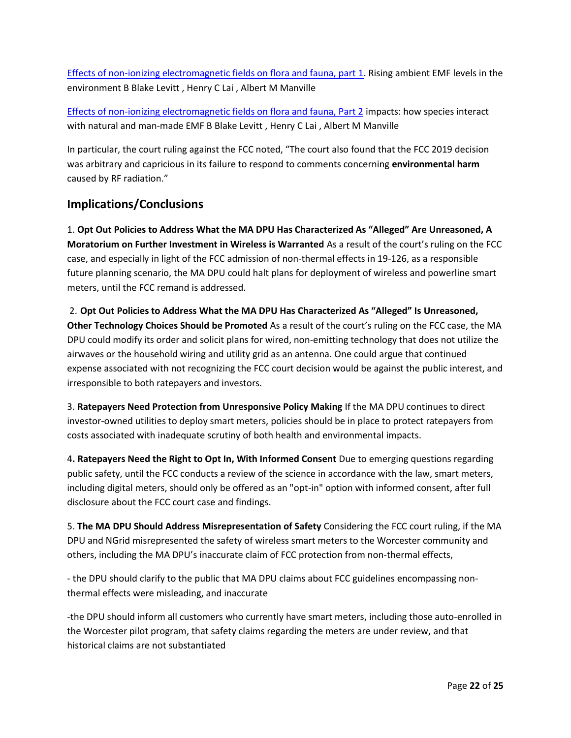[Effects of non-ionizing electromagnetic fields on flora and fauna, part 1.](https://pubmed.ncbi.nlm.nih.gov/34047144/) Rising ambient EMF levels in the environment B Blake Levitt , Henry C Lai , Albert M Manville

[Effects of non-ionizing electromagnetic fields on flora and fauna, Part 2](https://pubmed.ncbi.nlm.nih.gov/34243228/) impacts: how species interact with natural and man-made EMF B Blake Levitt , Henry C Lai , Albert M Manville

In particular, the court ruling against the FCC noted, "The court also found that the FCC 2019 decision was arbitrary and capricious in its failure to respond to comments concerning **environmental harm** caused by RF radiation."

### **Implications/Conclusions**

1. **Opt Out Policies to Address What the MA DPU Has Characterized As "Alleged" Are Unreasoned, A Moratorium on Further Investment in Wireless is Warranted** As a result of the court's ruling on the FCC case, and especially in light of the FCC admission of non-thermal effects in 19-126, as a responsible future planning scenario, the MA DPU could halt plans for deployment of wireless and powerline smart meters, until the FCC remand is addressed.

2. **Opt Out Policies to Address What the MA DPU Has Characterized As "Alleged" Is Unreasoned, Other Technology Choices Should be Promoted** As a result of the court's ruling on the FCC case, the MA DPU could modify its order and solicit plans for wired, non-emitting technology that does not utilize the airwaves or the household wiring and utility grid as an antenna. One could argue that continued expense associated with not recognizing the FCC court decision would be against the public interest, and irresponsible to both ratepayers and investors.

3. **Ratepayers Need Protection from Unresponsive Policy Making** If the MA DPU continues to direct investor-owned utilities to deploy smart meters, policies should be in place to protect ratepayers from costs associated with inadequate scrutiny of both health and environmental impacts.

4**. Ratepayers Need the Right to Opt In, With Informed Consent** Due to emerging questions regarding public safety, until the FCC conducts a review of the science in accordance with the law, smart meters, including digital meters, should only be offered as an "opt-in" option with informed consent, after full disclosure about the FCC court case and findings.

5. **The MA DPU Should Address Misrepresentation of Safety** Considering the FCC court ruling, if the MA DPU and NGrid misrepresented the safety of wireless smart meters to the Worcester community and others, including the MA DPU's inaccurate claim of FCC protection from non-thermal effects,

- the DPU should clarify to the public that MA DPU claims about FCC guidelines encompassing nonthermal effects were misleading, and inaccurate

-the DPU should inform all customers who currently have smart meters, including those auto-enrolled in the Worcester pilot program, that safety claims regarding the meters are under review, and that historical claims are not substantiated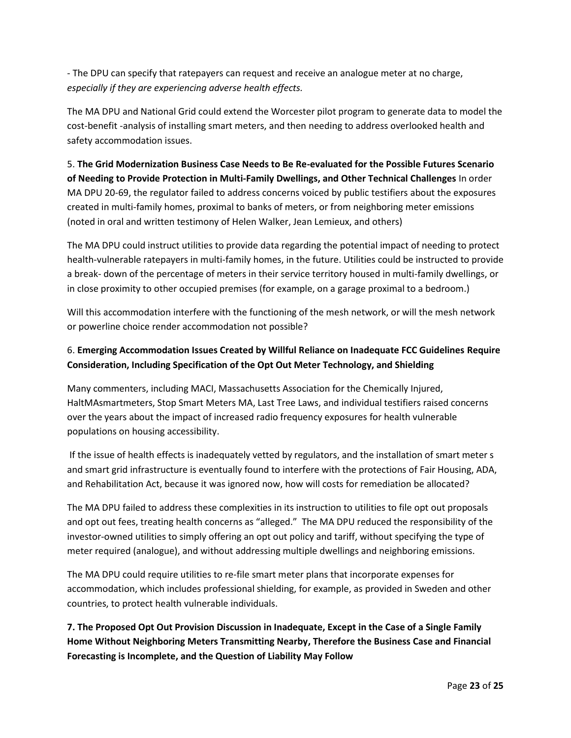- The DPU can specify that ratepayers can request and receive an analogue meter at no charge, *especially if they are experiencing adverse health effects.*

The MA DPU and National Grid could extend the Worcester pilot program to generate data to model the cost-benefit -analysis of installing smart meters, and then needing to address overlooked health and safety accommodation issues.

5. **The Grid Modernization Business Case Needs to Be Re-evaluated for the Possible Futures Scenario of Needing to Provide Protection in Multi-Family Dwellings, and Other Technical Challenges** In order MA DPU 20-69, the regulator failed to address concerns voiced by public testifiers about the exposures created in multi-family homes, proximal to banks of meters, or from neighboring meter emissions (noted in oral and written testimony of Helen Walker, Jean Lemieux, and others)

The MA DPU could instruct utilities to provide data regarding the potential impact of needing to protect health-vulnerable ratepayers in multi-family homes, in the future. Utilities could be instructed to provide a break- down of the percentage of meters in their service territory housed in multi-family dwellings, or in close proximity to other occupied premises (for example, on a garage proximal to a bedroom.)

Will this accommodation interfere with the functioning of the mesh network, or will the mesh network or powerline choice render accommodation not possible?

### 6. **Emerging Accommodation Issues Created by Willful Reliance on Inadequate FCC Guidelines Require Consideration, Including Specification of the Opt Out Meter Technology, and Shielding**

Many commenters, including MACI, Massachusetts Association for the Chemically Injured, HaltMAsmartmeters, Stop Smart Meters MA, Last Tree Laws, and individual testifiers raised concerns over the years about the impact of increased radio frequency exposures for health vulnerable populations on housing accessibility.

If the issue of health effects is inadequately vetted by regulators, and the installation of smart meter s and smart grid infrastructure is eventually found to interfere with the protections of Fair Housing, ADA, and Rehabilitation Act, because it was ignored now, how will costs for remediation be allocated?

The MA DPU failed to address these complexities in its instruction to utilities to file opt out proposals and opt out fees, treating health concerns as "alleged." The MA DPU reduced the responsibility of the investor-owned utilities to simply offering an opt out policy and tariff, without specifying the type of meter required (analogue), and without addressing multiple dwellings and neighboring emissions.

The MA DPU could require utilities to re-file smart meter plans that incorporate expenses for accommodation, which includes professional shielding, for example, as provided in Sweden and other countries, to protect health vulnerable individuals.

**7. The Proposed Opt Out Provision Discussion in Inadequate, Except in the Case of a Single Family Home Without Neighboring Meters Transmitting Nearby, Therefore the Business Case and Financial Forecasting is Incomplete, and the Question of Liability May Follow**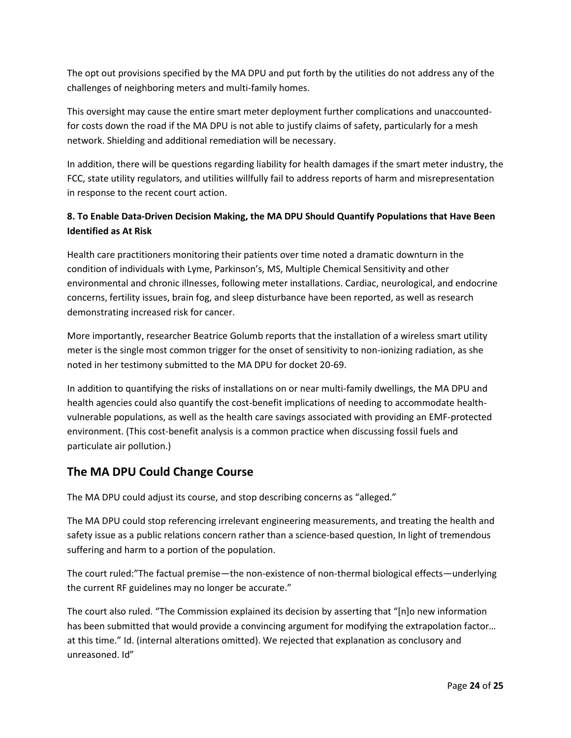The opt out provisions specified by the MA DPU and put forth by the utilities do not address any of the challenges of neighboring meters and multi-family homes.

This oversight may cause the entire smart meter deployment further complications and unaccountedfor costs down the road if the MA DPU is not able to justify claims of safety, particularly for a mesh network. Shielding and additional remediation will be necessary.

In addition, there will be questions regarding liability for health damages if the smart meter industry, the FCC, state utility regulators, and utilities willfully fail to address reports of harm and misrepresentation in response to the recent court action.

### **8. To Enable Data-Driven Decision Making, the MA DPU Should Quantify Populations that Have Been Identified as At Risk**

Health care practitioners monitoring their patients over time noted a dramatic downturn in the condition of individuals with Lyme, Parkinson's, MS, Multiple Chemical Sensitivity and other environmental and chronic illnesses, following meter installations. Cardiac, neurological, and endocrine concerns, fertility issues, brain fog, and sleep disturbance have been reported, as well as research demonstrating increased risk for cancer.

More importantly, researcher Beatrice Golumb reports that the installation of a wireless smart utility meter is the single most common trigger for the onset of sensitivity to non-ionizing radiation, as she noted in her testimony submitted to the MA DPU for docket 20-69.

In addition to quantifying the risks of installations on or near multi-family dwellings, the MA DPU and health agencies could also quantify the cost-benefit implications of needing to accommodate healthvulnerable populations, as well as the health care savings associated with providing an EMF-protected environment. (This cost-benefit analysis is a common practice when discussing fossil fuels and particulate air pollution.)

### **The MA DPU Could Change Course**

The MA DPU could adjust its course, and stop describing concerns as "alleged."

The MA DPU could stop referencing irrelevant engineering measurements, and treating the health and safety issue as a public relations concern rather than a science-based question, In light of tremendous suffering and harm to a portion of the population.

The court ruled:"The factual premise—the non-existence of non-thermal biological effects—underlying the current RF guidelines may no longer be accurate."

The court also ruled. "The Commission explained its decision by asserting that "[n]o new information has been submitted that would provide a convincing argument for modifying the extrapolation factor... at this time." Id. (internal alterations omitted). We rejected that explanation as conclusory and unreasoned. Id"